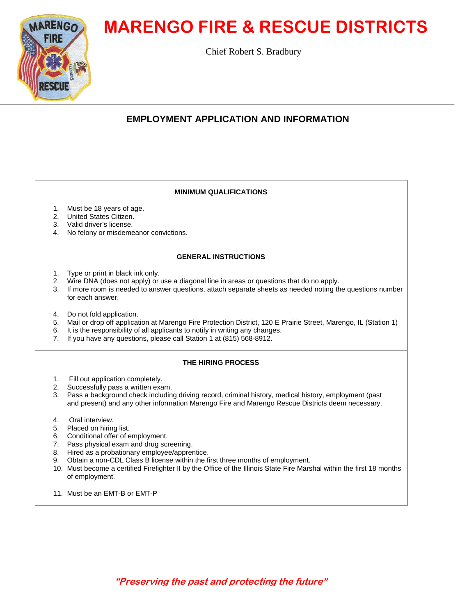# **MARENGO FIRE & RESCUE DISTRICTS**

Chief Robert S. Bradbury

# **RENGO**

# **EMPLOYMENT APPLICATION AND INFORMATION**

# **MINIMUM QUALIFICATIONS**

- 1. Must be 18 years of age.
- 2. United States Citizen.
- 3. Valid driver's license.
- 4. No felony or misdemeanor convictions.

# **GENERAL INSTRUCTIONS**

- 1. Type or print in black ink only.
- 2. Wire DNA (does not apply) or use a diagonal line in areas or questions that do no apply.
- 3. If more room is needed to answer questions, attach separate sheets as needed noting the questions number for each answer.
- 4. Do not fold application.
- 5. Mail or drop off application at Marengo Fire Protection District, 120 E Prairie Street, Marengo, IL (Station 1)
- 6. It is the responsibility of all applicants to notify in writing any changes.
- 7. If you have any questions, please call Station 1 at (815) 568-8912.

## **THE HIRING PROCESS**

- 1. Fill out application completely.
- 2. Successfully pass a written exam.
- 3. Pass a background check including driving record, criminal history, medical history, employment (past and present) and any other information Marengo Fire and Marengo Rescue Districts deem necessary.
- 4. Oral interview.
- 5. Placed on hiring list.
- 6. Conditional offer of employment.
- 7. Pass physical exam and drug screening.
- 8. Hired as a probationary employee/apprentice.
- 9. Obtain a non-CDL Class B license within the first three months of employment.
- 10. Must become a certified Firefighter II by the Office of the Illinois State Fire Marshal within the first 18 months of employment.
- 11 Must be an FMT-B or FMT-P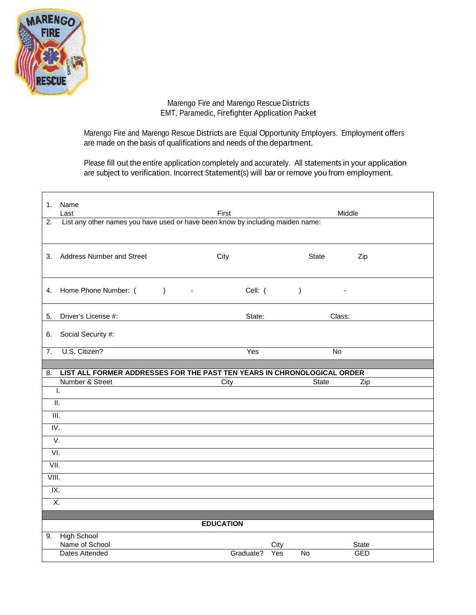

Marengo Fire and Marengo Rescue Districts EMT, Paramedic, Firefighter Application Packet

Marengo Fire and Marengo Rescue Districts are Equal Opportunity Employers. Employment offers are made on the basis of qualifications and needs of the department.

Please fill out the entire application completely and accurately. All statements in your application are subject to verification. Incorrect Statement(s) will bar or remove you from employment.

| 1.                         | Name<br>Last                                                                         | First                               |                               | Middle                     |  |  |  |
|----------------------------|--------------------------------------------------------------------------------------|-------------------------------------|-------------------------------|----------------------------|--|--|--|
|                            | List any other names you have used or have been know by including maiden name:<br>2. |                                     |                               |                            |  |  |  |
| 3.                         | <b>Address Number and Street</b>                                                     | City                                | State                         | Zip                        |  |  |  |
| 4.                         | Home Phone Number: (<br>$\rightarrow$                                                | Cell: (<br>$\overline{\phantom{a}}$ | $\mathcal{E}$                 |                            |  |  |  |
| 5.                         | Driver's License #:                                                                  | State:                              |                               | Class:                     |  |  |  |
| 6.                         | Social Security #:                                                                   |                                     |                               |                            |  |  |  |
| 7.                         | U.S. Citizen?                                                                        | Yes                                 |                               | No                         |  |  |  |
| 8.                         | LIST ALL FORMER ADDRESSES FOR THE PAST TEN YEARS IN CHRONOLOGICAL ORDER              |                                     |                               |                            |  |  |  |
|                            |                                                                                      |                                     |                               |                            |  |  |  |
|                            | Number & Street                                                                      | City                                |                               | <b>State</b><br>Zip        |  |  |  |
|                            | Ι.                                                                                   |                                     |                               |                            |  |  |  |
| $\overline{\mathbb{II}}$ . |                                                                                      |                                     |                               |                            |  |  |  |
| $\overline{\mathbb{H}}$ .  |                                                                                      |                                     |                               |                            |  |  |  |
| IV.                        |                                                                                      |                                     |                               |                            |  |  |  |
| V.                         |                                                                                      |                                     |                               |                            |  |  |  |
| VI.                        |                                                                                      |                                     |                               |                            |  |  |  |
| VII.                       |                                                                                      |                                     |                               |                            |  |  |  |
| VIII.                      |                                                                                      |                                     |                               |                            |  |  |  |
| IX.                        |                                                                                      |                                     |                               |                            |  |  |  |
| X.                         |                                                                                      |                                     |                               |                            |  |  |  |
|                            |                                                                                      | <b>EDUCATION</b>                    |                               |                            |  |  |  |
| 9.                         |                                                                                      |                                     |                               |                            |  |  |  |
|                            | <b>High School</b><br>Name of School<br><b>Dates Attended</b>                        | Graduate?                           | City<br>$\overline{N}$<br>Yes | <b>State</b><br><b>GED</b> |  |  |  |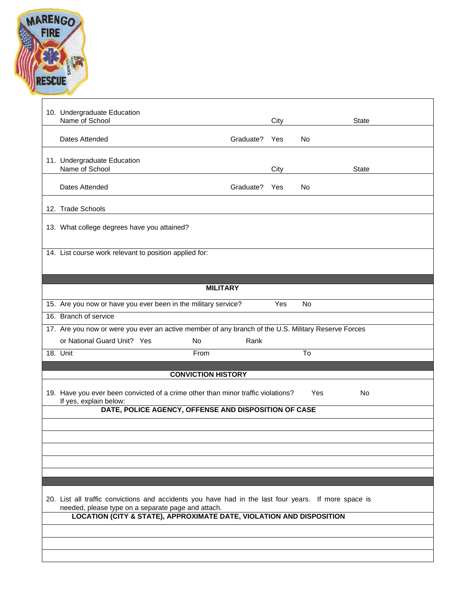

| 10. Undergraduate Education<br>Name of School                                                                              |           | City |           | State |  |  |
|----------------------------------------------------------------------------------------------------------------------------|-----------|------|-----------|-------|--|--|
| Dates Attended                                                                                                             | Graduate? | Yes  | No.       |       |  |  |
| 11. Undergraduate Education<br>Name of School                                                                              |           | City |           | State |  |  |
| Dates Attended                                                                                                             | Graduate? | Yes  | No.       |       |  |  |
| 12. Trade Schools                                                                                                          |           |      |           |       |  |  |
| 13. What college degrees have you attained?                                                                                |           |      |           |       |  |  |
| 14. List course work relevant to position applied for:                                                                     |           |      |           |       |  |  |
|                                                                                                                            |           |      |           |       |  |  |
| <b>MILITARY</b>                                                                                                            |           |      |           |       |  |  |
| 15. Are you now or have you ever been in the military service?                                                             |           | Yes  | <b>No</b> |       |  |  |
| 16. Branch of service                                                                                                      |           |      |           |       |  |  |
| 17. Are you now or were you ever an active member of any branch of the U.S. Military Reserve Forces                        |           |      |           |       |  |  |
| or National Guard Unit? Yes<br><b>No</b>                                                                                   | Rank      |      |           |       |  |  |
| 18. $\overline{Unit}$<br>From                                                                                              |           |      | To        |       |  |  |
|                                                                                                                            |           |      |           |       |  |  |
| <b>CONVICTION HISTORY</b>                                                                                                  |           |      |           |       |  |  |
| 19. Have you ever been convicted of a crime other than minor traffic violations?<br>Yes<br>No<br>If yes, explain below:    |           |      |           |       |  |  |
| DATE, POLICE AGENCY, OFFENSE AND DISPOSITION OF CASE                                                                       |           |      |           |       |  |  |
|                                                                                                                            |           |      |           |       |  |  |
|                                                                                                                            |           |      |           |       |  |  |
|                                                                                                                            |           |      |           |       |  |  |
|                                                                                                                            |           |      |           |       |  |  |
|                                                                                                                            |           |      |           |       |  |  |
| 20. List all traffic convictions and accidents you have had in the last four years. If more space is                       |           |      |           |       |  |  |
| needed, please type on a separate page and attach.<br>LOCATION (CITY & STATE), APPROXIMATE DATE, VIOLATION AND DISPOSITION |           |      |           |       |  |  |
|                                                                                                                            |           |      |           |       |  |  |
|                                                                                                                            |           |      |           |       |  |  |
|                                                                                                                            |           |      |           |       |  |  |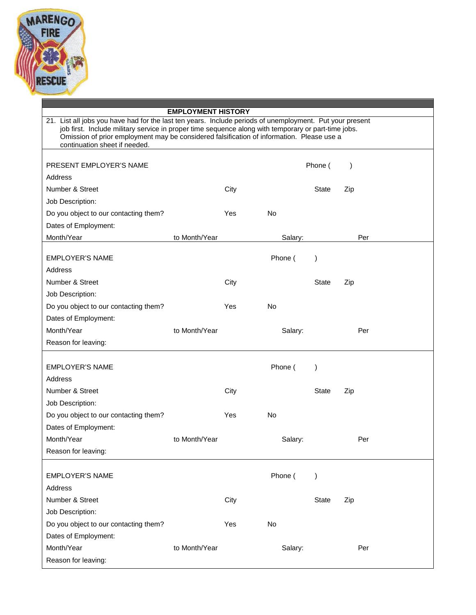

# **EMPLOYMENT HISTORY** 21. List all jobs you have had for the last ten years. Include periods of unemployment. Put your present job first. Include military service in proper time sequence along with temporary or part-time jobs. Omission of prior employment may be considered falsification of information. Please use a continuation sheet if needed. PRESENT EMPLOYER'S NAME **PRESENT EMPLOYER'S NAME Address** Number & Street City City City State Zip Job Description: Do you object to our contacting them? The Yes No Dates of Employment: Month/Year **to Month/Year** Salary: Per EMPLOYER'S NAME Phone ( ) Address Number & Street City City City State Zip Job Description: Do you object to our contacting them? The Yes No Dates of Employment: Month/Year **to Month/Year** Salary: Per Reason for leaving: EMPLOYER'S NAME **Phone (BEA)** Phone (Phone (Phone (Phone (Phone (Phone (Phone (Phone (Phone (Phone (Phone (Phone (Phone (Phone (Phone (Phone (Phone (Phone (Phone (Phone (Phone (Phone (Phone (Phone (Phone (Phone (Phone (Pho Address Number & Street City City City State Zip Job Description: Do you object to our contacting them? The Yes No Dates of Employment: Month/Year **to Month/Year** Salary: Per Reason for leaving: EMPLOYER'S NAME  $\qquad \qquad$  Phone ( ) Address Number & Street City City State Zip Job Description: Do you object to our contacting them? The Yes No Dates of Employment: Month/Year **to Month/Year** Salary: Per Reason for leaving: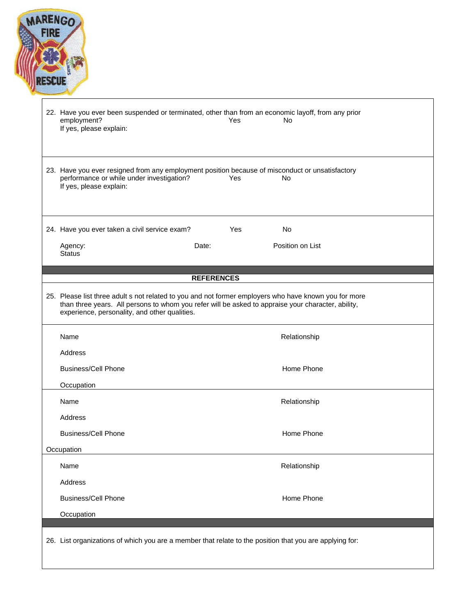| employment?<br>If yes, please explain:                                                                                                                                  |                   | Yes | 22. Have you ever been suspended or terminated, other than from an economic layoff, from any prior<br>No. |  |
|-------------------------------------------------------------------------------------------------------------------------------------------------------------------------|-------------------|-----|-----------------------------------------------------------------------------------------------------------|--|
| 23. Have you ever resigned from any employment position because of misconduct or unsatisfactory<br>performance or while under investigation?<br>If yes, please explain: |                   | Yes | No                                                                                                        |  |
| 24. Have you ever taken a civil service exam?                                                                                                                           |                   | Yes | <b>No</b>                                                                                                 |  |
| Agency:<br><b>Status</b>                                                                                                                                                | Date:             |     | Position on List                                                                                          |  |
|                                                                                                                                                                         | <b>REFERENCES</b> |     |                                                                                                           |  |
|                                                                                                                                                                         |                   |     |                                                                                                           |  |
| than three years. All persons to whom you refer will be asked to appraise your character, ability,<br>experience, personality, and other qualities.                     |                   |     | 25. Please list three adult s not related to you and not former employers who have known you for more     |  |
| Name                                                                                                                                                                    |                   |     | Relationship                                                                                              |  |
| Address                                                                                                                                                                 |                   |     |                                                                                                           |  |
| <b>Business/Cell Phone</b>                                                                                                                                              |                   |     | Home Phone                                                                                                |  |
| Occupation                                                                                                                                                              |                   |     |                                                                                                           |  |
| Name                                                                                                                                                                    |                   |     | Relationship                                                                                              |  |
| Address                                                                                                                                                                 |                   |     |                                                                                                           |  |
| <b>Business/Cell Phone</b>                                                                                                                                              |                   |     | Home Phone                                                                                                |  |
| Occupation                                                                                                                                                              |                   |     |                                                                                                           |  |
| Name                                                                                                                                                                    |                   |     | Relationship                                                                                              |  |
| Address                                                                                                                                                                 |                   |     |                                                                                                           |  |
| <b>Business/Cell Phone</b>                                                                                                                                              |                   |     | Home Phone                                                                                                |  |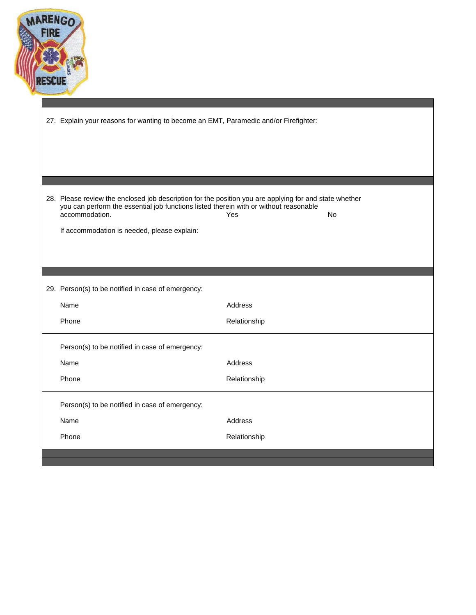

| 27. Explain your reasons for wanting to become an EMT, Paramedic and/or Firefighter:                                                                                                                                                                             |              |    |  |  |  |
|------------------------------------------------------------------------------------------------------------------------------------------------------------------------------------------------------------------------------------------------------------------|--------------|----|--|--|--|
|                                                                                                                                                                                                                                                                  |              |    |  |  |  |
| 28. Please review the enclosed job description for the position you are applying for and state whether<br>you can perform the essential job functions listed therein with or without reasonable<br>accommodation.<br>If accommodation is needed, please explain: | Yes          | No |  |  |  |
|                                                                                                                                                                                                                                                                  |              |    |  |  |  |
|                                                                                                                                                                                                                                                                  |              |    |  |  |  |
| 29. Person(s) to be notified in case of emergency:                                                                                                                                                                                                               |              |    |  |  |  |
| Name                                                                                                                                                                                                                                                             | Address      |    |  |  |  |
| Phone                                                                                                                                                                                                                                                            | Relationship |    |  |  |  |
| Person(s) to be notified in case of emergency:                                                                                                                                                                                                                   |              |    |  |  |  |
| Name                                                                                                                                                                                                                                                             | Address      |    |  |  |  |
| Phone                                                                                                                                                                                                                                                            | Relationship |    |  |  |  |
| Person(s) to be notified in case of emergency:                                                                                                                                                                                                                   |              |    |  |  |  |
| Name                                                                                                                                                                                                                                                             | Address      |    |  |  |  |
| Phone                                                                                                                                                                                                                                                            | Relationship |    |  |  |  |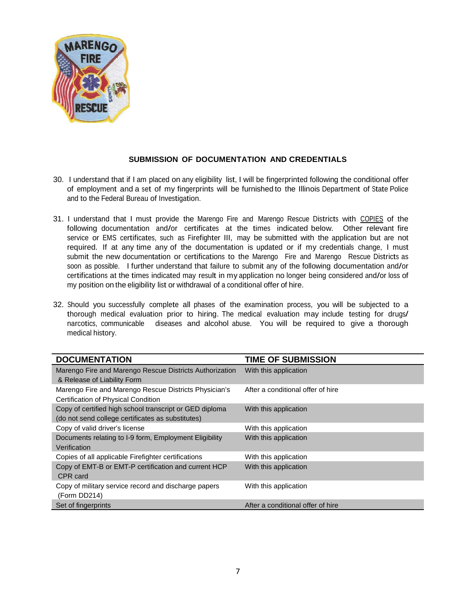

# **SUBMISSION OF DOCUMENTATION AND CREDENTIALS**

- 30. I understand that if I am placed on any eligibility list, I will be fingerprinted following the conditional offer of employment and a set of my fingerprints will be furnished to the Illinois Department of State Police and to the Federal Bureau of Investigation.
- 31. I understand that I must provide the Marengo Fire and Marengo Rescue Districts with COPIES of the following documentation and/or certificates at the times indicated below. Other relevant fire service or EMS certificates, such as Firefighter III, may be submitted with the application but are not required. If at any time any of the documentation is updated or if my credentials change, I must submit the new documentation or certifications to the Marengo Fire and Marengo Rescue Districts as soon as possible. I further understand that failure to submit any of the following documentation and/or certifications at the times indicated may result in my application no longer being considered and/or loss of my position on the eligibility list or withdrawal of a conditional offer of hire.
- 32. Should you successfully complete all phases of the examination process, you will be subjected to a thorough medical evaluation prior to hiring. The medical evaluation may include testing for drugs/ narcotics, communicable diseases and alcohol abuse. You will be required to give a thorough medical history.

| <b>DOCUMENTATION</b>                                    | <b>TIME OF SUBMISSION</b>         |
|---------------------------------------------------------|-----------------------------------|
| Marengo Fire and Marengo Rescue Districts Authorization | With this application             |
| & Release of Liability Form                             |                                   |
| Marengo Fire and Marengo Rescue Districts Physician's   | After a conditional offer of hire |
| Certification of Physical Condition                     |                                   |
| Copy of certified high school transcript or GED diploma | With this application             |
| (do not send college certificates as substitutes)       |                                   |
| Copy of valid driver's license                          | With this application             |
| Documents relating to I-9 form, Employment Eligibility  | With this application             |
| Verification                                            |                                   |
| Copies of all applicable Firefighter certifications     | With this application             |
| Copy of EMT-B or EMT-P certification and current HCP    | With this application             |
| CPR card                                                |                                   |
| Copy of military service record and discharge papers    | With this application             |
| (Form DD214)                                            |                                   |
| Set of fingerprints                                     | After a conditional offer of hire |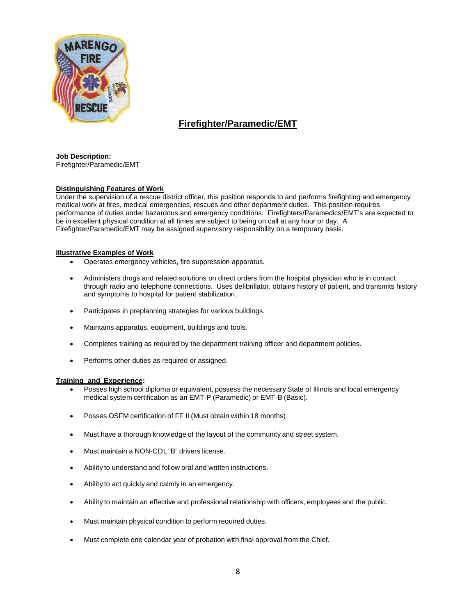

# **Firefighter/Paramedic/EMT**

### **Job Description:**

Firefighter/Paramedic/EMT

### **Distinguishing Features of Work**

Under the supervision of a rescue district officer, this position responds to and performs firefighting and emergency medical work at fires, medical emergencies, rescues and other department duties. This position requires performance of duties under hazardous and emergency conditions. Firefighters/Paramedics/EMT's are expected to be in excellent physical condition at all times are subject to being on call at any hour or day. A Firefighter/Paramedic/EMT may be assigned supervisory responsibility on a temporary basis.

### **Illustrative Examples of Work**

- Operates emergency vehicles, fire suppression apparatus.
- Administers drugs and related solutions on direct orders from the hospital physician who is in contact through radio and telephone connections. Uses defibrillator, obtains history of patient, and transmits history and symptoms to hospital for patient stabilization.
- Participates in preplanning strategies for various buildings.
- Maintains apparatus, equipment, buildings and tools.
- Completes training as required by the department training officer and department policies.
- Performs other duties as required or assigned.

### **Training and Experience:**

- Posses high school diploma or equivalent, possess the necessary State of Illinois and local emergency medical system certification as an EMT-P (Paramedic) or EMT-B (Basic).
- Posses OSFM certification of FF II (Must obtain within 18 months)
- Must have a thorough knowledge of the layout of the community and street system.
- Must maintain a NON-CDL "B" drivers license.
- Ability to understand and follow oral and written instructions.
- Ability to act quickly and calmly in an emergency.
- Ability to maintain an effective and professional relationship with officers, employees and the public.
- Must maintain physical condition to perform required duties.
- Must complete one calendar year of probation with final approval from the Chief.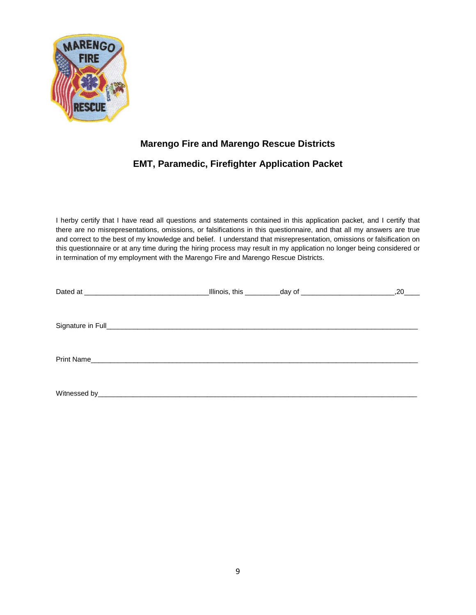

# **Marengo Fire and Marengo Rescue Districts**

# **EMT, Paramedic, Firefighter Application Packet**

I herby certify that I have read all questions and statements contained in this application packet, and I certify that there are no misrepresentations, omissions, or falsifications in this questionnaire, and that all my answers are true and correct to the best of my knowledge and belief. I understand that misrepresentation, omissions or falsification on this questionnaire or at any time during the hiring process may result in my application no longer being considered or in termination of my employment with the Marengo Fire and Marengo Rescue Districts.

|  | _Illinois, this ____________day of _____________________________ | .20 |
|--|------------------------------------------------------------------|-----|
|  |                                                                  |     |
|  |                                                                  |     |
|  |                                                                  |     |
|  |                                                                  |     |
|  |                                                                  |     |
|  |                                                                  |     |
|  |                                                                  |     |
|  |                                                                  |     |
|  |                                                                  |     |